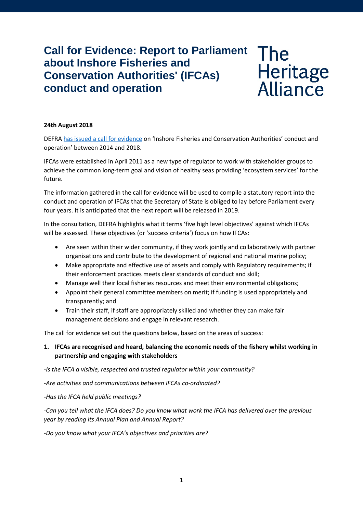# **Call for Evidence: Report to Parliament about Inshore Fisheries and Conservation Authorities' (IFCAs) conduct and operation**

# Heritage<br>Alliance

### **24th August 2018**

DEFRA has issued [a call for evidence](https://consult.defra.gov.uk/fisheries/ifcas-conduct-and-operation-report/) on 'Inshore Fisheries and Conservation Authorities' conduct and operation' between 2014 and 2018.

IFCAs were established in April 2011 as a new type of regulator to work with stakeholder groups to achieve the common long-term goal and vision of healthy seas providing 'ecosystem services' for the future.

The information gathered in the call for evidence will be used to compile a statutory report into the conduct and operation of IFCAs that the Secretary of State is obliged to lay before Parliament every four years. It is anticipated that the next report will be released in 2019.

In the consultation, DEFRA highlights what it terms 'five high level objectives' against which IFCAs will be assessed. These objectives (or 'success criteria') focus on how IFCAs:

- Are seen within their wider community, if they work jointly and collaboratively with partner organisations and contribute to the development of regional and national marine policy;
- Make appropriate and effective use of assets and comply with Regulatory requirements; if their enforcement practices meets clear standards of conduct and skill;
- Manage well their local fisheries resources and meet their environmental obligations;
- Appoint their general committee members on merit; if funding is used appropriately and transparently; and
- Train their staff, if staff are appropriately skilled and whether they can make fair management decisions and engage in relevant research.

The call for evidence set out the questions below, based on the areas of success:

# **1. IFCAs are recognised and heard, balancing the economic needs of the fishery whilst working in partnership and engaging with stakeholders**

*-Is the IFCA a visible, respected and trusted regulator within your community?*

*-Are activities and communications between IFCAs co-ordinated?*

*-Has the IFCA held public meetings?*

*-Can you tell what the IFCA does? Do you know what work the IFCA has delivered over the previous year by reading its Annual Plan and Annual Report?*

*-Do you know what your IFCA's objectives and priorities are?*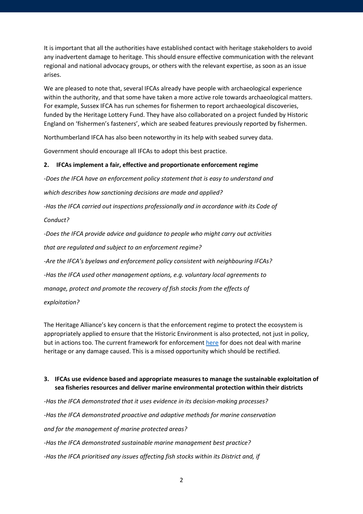It is important that all the authorities have established contact with heritage stakeholders to avoid any inadvertent damage to heritage. This should ensure effective communication with the relevant regional and national advocacy groups, or others with the relevant expertise, as soon as an issue arises.

We are pleased to note that, several IFCAs already have people with archaeological experience within the authority, and that some have taken a more active role towards archaeological matters. For example, Sussex IFCA has run schemes for fishermen to report archaeological discoveries, funded by the Heritage Lottery Fund. They have also collaborated on a project funded by Historic England on 'fishermen's fasteners', which are seabed features previously reported by fishermen.

Northumberland IFCA has also been noteworthy in its help with seabed survey data.

Government should encourage all IFCAs to adopt this best practice.

#### **2. IFCAs implement a fair, effective and proportionate enforcement regime**

*-Does the IFCA have an enforcement policy statement that is easy to understand and*

*which describes how sanctioning decisions are made and applied?*

*-Has the IFCA carried out inspections professionally and in accordance with its Code of*

*Conduct?*

*-Does the IFCA provide advice and guidance to people who might carry out activities that are regulated and subject to an enforcement regime? -Are the IFCA's byelaws and enforcement policy consistent with neighbouring IFCAs? -Has the IFCA used other management options, e.g. voluntary local agreements to manage, protect and promote the recovery of fish stocks from the effects of exploitation?*

The Heritage Alliance's key concern is that the enforcement regime to protect the ecosystem is appropriately applied to ensure that the Historic Environment is also protected, not just in policy, but in actions too. The current framework for enforcement [here](http://www.association-ifca.org.uk/Upload/About/2011-ifca-guide-common%20enforcement%20framework.pdf) for does not deal with marine heritage or any damage caused. This is a missed opportunity which should be rectified.

# **3. IFCAs use evidence based and appropriate measures to manage the sustainable exploitation of sea fisheries resources and deliver marine environmental protection within their districts**

*-Has the IFCA demonstrated that it uses evidence in its decision-making processes? -Has the IFCA demonstrated proactive and adaptive methods for marine conservation and for the management of marine protected areas? -Has the IFCA demonstrated sustainable marine management best practice? -Has the IFCA prioritised any issues affecting fish stocks within its District and, if*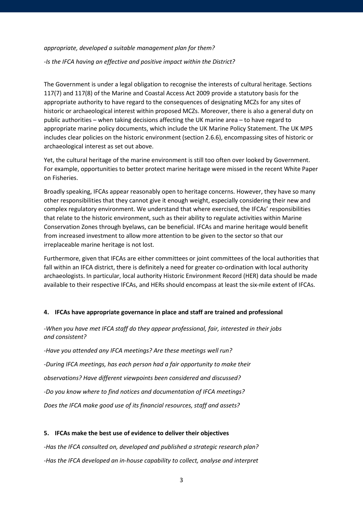#### *appropriate, developed a suitable management plan for them?*

*-Is the IFCA having an effective and positive impact within the District?*

The Government is under a legal obligation to recognise the interests of cultural heritage. Sections 117(7) and 117(8) of the Marine and Coastal Access Act 2009 provide a statutory basis for the appropriate authority to have regard to the consequences of designating MCZs for any sites of historic or archaeological interest within proposed MCZs. Moreover, there is also a general duty on public authorities – when taking decisions affecting the UK marine area – to have regard to appropriate marine policy documents, which include the UK Marine Policy Statement. The UK MPS includes clear policies on the historic environment (section 2.6.6), encompassing sites of historic or archaeological interest as set out above.

Yet, the cultural heritage of the marine environment is still too often over looked by Government. For example, opportunities to better protect marine heritage were missed in the recent White Paper on Fisheries.

Broadly speaking, IFCAs appear reasonably open to heritage concerns. However, they have so many other responsibilities that they cannot give it enough weight, especially considering their new and complex regulatory environment. We understand that where exercised, the IFCAs' responsibilities that relate to the historic environment, such as their ability to regulate activities within Marine Conservation Zones through byelaws, can be beneficial. IFCAs and marine heritage would benefit from increased investment to allow more attention to be given to the sector so that our irreplaceable marine heritage is not lost.

Furthermore, given that IFCAs are either committees or joint committees of the local authorities that fall within an IFCA district, there is definitely a need for greater co-ordination with local authority archaeologists. In particular, local authority Historic Environment Record (HER) data should be made available to their respective IFCAs, and HERs should encompass at least the six-mile extent of IFCAs.

#### **4. IFCAs have appropriate governance in place and staff are trained and professional**

*-When you have met IFCA staff do they appear professional, fair, interested in their jobs and consistent?*

*-Have you attended any IFCA meetings? Are these meetings well run? -During IFCA meetings, has each person had a fair opportunity to make their observations? Have different viewpoints been considered and discussed? -Do you know where to find notices and documentation of IFCA meetings? Does the IFCA make good use of its financial resources, staff and assets?*

# **5. IFCAs make the best use of evidence to deliver their objectives**

*-Has the IFCA consulted on, developed and published a strategic research plan? -Has the IFCA developed an in-house capability to collect, analyse and interpret*